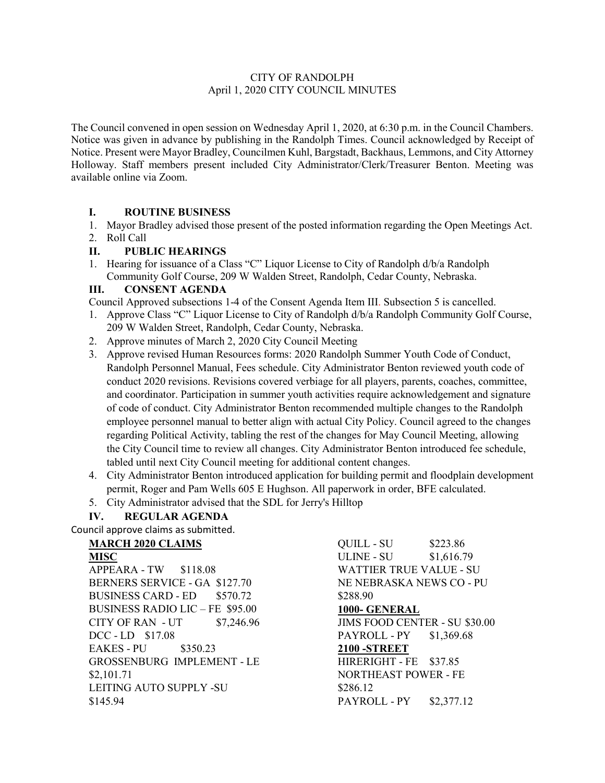#### CITY OF RANDOLPH April 1, 2020 CITY COUNCIL MINUTES

The Council convened in open session on Wednesday April 1, 2020, at 6:30 p.m. in the Council Chambers. Notice was given in advance by publishing in the Randolph Times. Council acknowledged by Receipt of Notice. Present were Mayor Bradley, Councilmen Kuhl, Bargstadt, Backhaus, Lemmons, and City Attorney Holloway. Staff members present included City Administrator/Clerk/Treasurer Benton. Meeting was available online via Zoom.

## **I. ROUTINE BUSINESS**

- 1. Mayor Bradley advised those present of the posted information regarding the Open Meetings Act.
- 2. Roll Call

## **II. PUBLIC HEARINGS**

1. Hearing for issuance of a Class "C" Liquor License to City of Randolph d/b/a Randolph Community Golf Course, 209 W Walden Street, Randolph, Cedar County, Nebraska.

## **III. CONSENT AGENDA**

Council Approved subsections 1-4 of the Consent Agenda Item III. Subsection 5 is cancelled.

- 1. Approve Class "C" Liquor License to City of Randolph d/b/a Randolph Community Golf Course, 209 W Walden Street, Randolph, Cedar County, Nebraska.
- 2. Approve minutes of March 2, 2020 City Council Meeting
- 3. Approve revised Human Resources forms: 2020 Randolph Summer Youth Code of Conduct, Randolph Personnel Manual, Fees schedule. City Administrator Benton reviewed youth code of conduct 2020 revisions. Revisions covered verbiage for all players, parents, coaches, committee, and coordinator. Participation in summer youth activities require acknowledgement and signature of code of conduct. City Administrator Benton recommended multiple changes to the Randolph employee personnel manual to better align with actual City Policy. Council agreed to the changes regarding Political Activity, tabling the rest of the changes for May Council Meeting, allowing the City Council time to review all changes. City Administrator Benton introduced fee schedule, tabled until next City Council meeting for additional content changes.
- 4. City Administrator Benton introduced application for building permit and floodplain development permit, Roger and Pam Wells 605 E Hughson. All paperwork in order, BFE calculated.
- 5. City Administrator advised that the SDL for Jerry's Hilltop

# **IV. REGULAR AGENDA**

Council approve claims as submitted.

## **MARCH 2020 CLAIMS**

**MISC** APPEARA - TW \$118.08 BERNERS SERVICE - GA \$127.70 BUSINESS CARD - ED \$570.72 BUSINESS RADIO LIC – FE \$95.00 CITY OF RAN - UT \$7,246.96 DCC - LD \$17.08 EAKES - PU \$350.23 GROSSENBURG IMPLEMENT - LE \$2,101.71 LEITING AUTO SUPPLY -SU \$145.94

QUILL - SU \$223.86 ULINE - SU \$1,616.79 WATTIER TRUE VALUE - SU NE NEBRASKA NEWS CO - PU \$288.90 **1000- GENERAL** JIMS FOOD CENTER - SU \$30.00 PAYROLL - PY \$1,369.68 **2100 -STREET** HIRERIGHT - FE \$37.85 NORTHEAST POWER - FE \$286.12 PAYROLL - PY \$2,377.12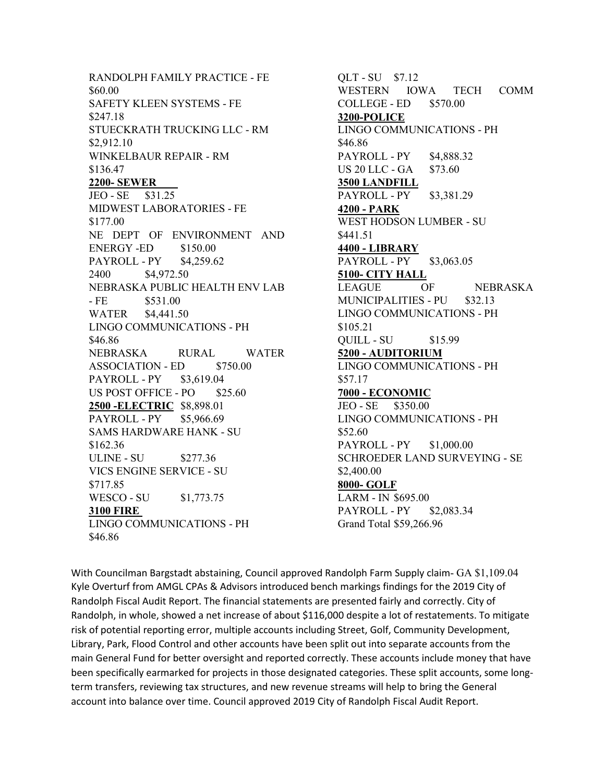RANDOLPH FAMILY PRACTICE - FE \$60.00 SAFETY KLEEN SYSTEMS - FE \$247.18 STUECKRATH TRUCKING LLC - RM \$2,912.10 WINKELBAUR REPAIR - RM \$136.47 **2200- SEWER** JEO - SE \$31.25 MIDWEST LABORATORIES - FE \$177.00 NE DEPT OF ENVIRONMENT AND ENERGY -ED \$150.00 PAYROLL - PY \$4,259.62 2400 \$4,972.50 NEBRASKA PUBLIC HEALTH ENV LAB  $- FE$  \$531.00 WATER \$4,441.50 LINGO COMMUNICATIONS - PH \$46.86 NEBRASKA RURAL WATER ASSOCIATION - ED \$750.00 PAYROLL - PY \$3,619.04 US POST OFFICE - PO \$25.60 **2500 -ELECTRIC** \$8,898.01 PAYROLL - PY \$5,966.69 SAMS HARDWARE HANK - SU \$162.36 ULINE - SU \$277.36 VICS ENGINE SERVICE - SU \$717.85 WESCO - SU \$1,773.75 **3100 FIRE** LINGO COMMUNICATIONS - PH \$46.86

QLT - SU \$7.12 WESTERN IOWA TECH COMM COLLEGE - ED \$570.00 **3200-POLICE** LINGO COMMUNICATIONS - PH \$46.86 PAYROLL - PY \$4,888.32 US 20 LLC - GA \$73.60 **3500 LANDFILL** PAYROLL - PY \$3,381.29 **4200 - PARK** WEST HODSON LUMBER - SU \$441.51 **4400 - LIBRARY** PAYROLL - PY \$3,063.05 **5100- CITY HALL** LEAGUE OF NEBRASKA MUNICIPALITIES - PU \$32.13 LINGO COMMUNICATIONS - PH \$105.21 QUILL - SU \$15.99 **5200 - AUDITORIUM** LINGO COMMUNICATIONS - PH \$57.17 **7000 - ECONOMIC** JEO - SE \$350.00 LINGO COMMUNICATIONS - PH \$52.60 PAYROLL - PY \$1,000.00 SCHROEDER LAND SURVEYING - SE \$2,400.00 **8000- GOLF** LARM - IN \$695.00 PAYROLL - PY \$2,083.34 Grand Total \$59,266.96

With Councilman Bargstadt abstaining, Council approved Randolph Farm Supply claim- GA \$1,109.04 Kyle Overturf from AMGL CPAs & Advisors introduced bench markings findings for the 2019 City of Randolph Fiscal Audit Report. The financial statements are presented fairly and correctly. City of Randolph, in whole, showed a net increase of about \$116,000 despite a lot of restatements. To mitigate risk of potential reporting error, multiple accounts including Street, Golf, Community Development, Library, Park, Flood Control and other accounts have been split out into separate accounts from the main General Fund for better oversight and reported correctly. These accounts include money that have been specifically earmarked for projects in those designated categories. These split accounts, some longterm transfers, reviewing tax structures, and new revenue streams will help to bring the General account into balance over time. Council approved 2019 City of Randolph Fiscal Audit Report.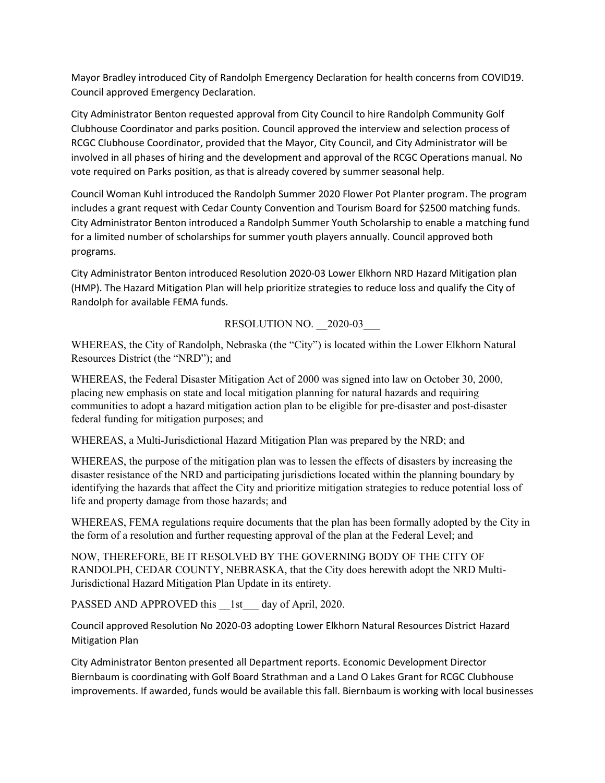Mayor Bradley introduced City of Randolph Emergency Declaration for health concerns from COVID19. Council approved Emergency Declaration.

City Administrator Benton requested approval from City Council to hire Randolph Community Golf Clubhouse Coordinator and parks position. Council approved the interview and selection process of RCGC Clubhouse Coordinator, provided that the Mayor, City Council, and City Administrator will be involved in all phases of hiring and the development and approval of the RCGC Operations manual. No vote required on Parks position, as that is already covered by summer seasonal help.

Council Woman Kuhl introduced the Randolph Summer 2020 Flower Pot Planter program. The program includes a grant request with Cedar County Convention and Tourism Board for \$2500 matching funds. City Administrator Benton introduced a Randolph Summer Youth Scholarship to enable a matching fund for a limited number of scholarships for summer youth players annually. Council approved both programs.

City Administrator Benton introduced Resolution 2020-03 Lower Elkhorn NRD Hazard Mitigation plan (HMP). The Hazard Mitigation Plan will help prioritize strategies to reduce loss and qualify the City of Randolph for available FEMA funds.

RESOLUTION NO. 2020-03

WHEREAS, the City of Randolph, Nebraska (the "City") is located within the Lower Elkhorn Natural Resources District (the "NRD"); and

WHEREAS, the Federal Disaster Mitigation Act of 2000 was signed into law on October 30, 2000, placing new emphasis on state and local mitigation planning for natural hazards and requiring communities to adopt a hazard mitigation action plan to be eligible for pre-disaster and post-disaster federal funding for mitigation purposes; and

WHEREAS, a Multi-Jurisdictional Hazard Mitigation Plan was prepared by the NRD; and

WHEREAS, the purpose of the mitigation plan was to lessen the effects of disasters by increasing the disaster resistance of the NRD and participating jurisdictions located within the planning boundary by identifying the hazards that affect the City and prioritize mitigation strategies to reduce potential loss of life and property damage from those hazards; and

WHEREAS, FEMA regulations require documents that the plan has been formally adopted by the City in the form of a resolution and further requesting approval of the plan at the Federal Level; and

NOW, THEREFORE, BE IT RESOLVED BY THE GOVERNING BODY OF THE CITY OF RANDOLPH, CEDAR COUNTY, NEBRASKA, that the City does herewith adopt the NRD Multi-Jurisdictional Hazard Mitigation Plan Update in its entirety.

PASSED AND APPROVED this 1st day of April, 2020.

Council approved Resolution No 2020-03 adopting Lower Elkhorn Natural Resources District Hazard Mitigation Plan

City Administrator Benton presented all Department reports. Economic Development Director Biernbaum is coordinating with Golf Board Strathman and a Land O Lakes Grant for RCGC Clubhouse improvements. If awarded, funds would be available this fall. Biernbaum is working with local businesses